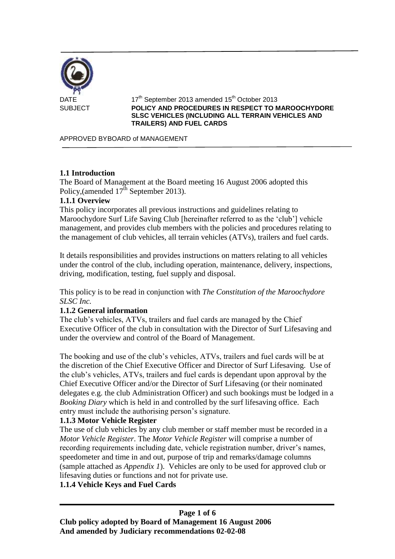

 $17<sup>th</sup>$  September 2013 amended 15<sup>th</sup> October 2013 SUBJECT **POLICY AND PROCEDURES IN RESPECT TO MAROOCHYDORE SLSC VEHICLES (INCLUDING ALL TERRAIN VEHICLES AND TRAILERS) AND FUEL CARDS**

APPROVED BYBOARD of MANAGEMENT

## **1.1 Introduction**

The Board of Management at the Board meeting 16 August 2006 adopted this Policy, (amended  $17^{\text{th}}$  September 2013).

### **1.1.1 Overview**

This policy incorporates all previous instructions and guidelines relating to Maroochydore Surf Life Saving Club [hereinafter referred to as the 'club'] vehicle management, and provides club members with the policies and procedures relating to the management of club vehicles, all terrain vehicles (ATVs), trailers and fuel cards.

It details responsibilities and provides instructions on matters relating to all vehicles under the control of the club, including operation, maintenance, delivery, inspections, driving, modification, testing, fuel supply and disposal.

This policy is to be read in conjunction with *The Constitution of the Maroochydore SLSC Inc.* 

### **1.1.2 General information**

The club's vehicles, ATVs, trailers and fuel cards are managed by the Chief Executive Officer of the club in consultation with the Director of Surf Lifesaving and under the overview and control of the Board of Management.

The booking and use of the club's vehicles, ATVs, trailers and fuel cards will be at the discretion of the Chief Executive Officer and Director of Surf Lifesaving. Use of the club's vehicles, ATVs, trailers and fuel cards is dependant upon approval by the Chief Executive Officer and/or the Director of Surf Lifesaving (or their nominated delegates e.g. the club Administration Officer) and such bookings must be lodged in a *Booking Diary* which is held in and controlled by the surf lifesaving office. Each entry must include the authorising person's signature.

### **1.1.3 Motor Vehicle Register**

The use of club vehicles by any club member or staff member must be recorded in a *Motor Vehicle Register*. The *Motor Vehicle Register* will comprise a number of recording requirements including date, vehicle registration number, driver's names, speedometer and time in and out, purpose of trip and remarks/damage columns (sample attached as *Appendix 1*). Vehicles are only to be used for approved club or lifesaving duties or functions and not for private use.

### **1.1.4 Vehicle Keys and Fuel Cards**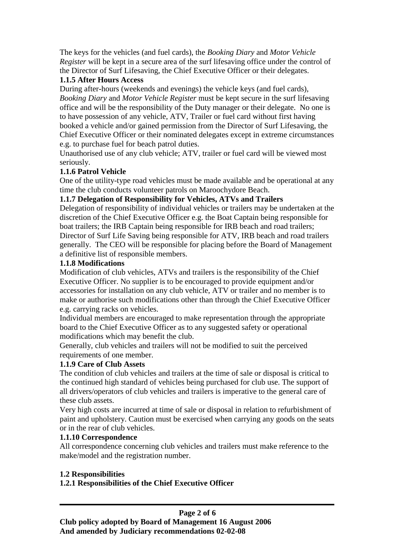The keys for the vehicles (and fuel cards), the *Booking Diary* and *Motor Vehicle Register* will be kept in a secure area of the surf lifesaving office under the control of the Director of Surf Lifesaving, the Chief Executive Officer or their delegates.

## **1.1.5 After Hours Access**

During after-hours (weekends and evenings) the vehicle keys (and fuel cards), *Booking Diary* and *Motor Vehicle Register* must be kept secure in the surf lifesaving office and will be the responsibility of the Duty manager or their delegate. No one is to have possession of any vehicle, ATV, Trailer or fuel card without first having booked a vehicle and/or gained permission from the Director of Surf Lifesaving, the Chief Executive Officer or their nominated delegates except in extreme circumstances e.g. to purchase fuel for beach patrol duties.

Unauthorised use of any club vehicle; ATV, trailer or fuel card will be viewed most seriously.

# **1.1.6 Patrol Vehicle**

One of the utility-type road vehicles must be made available and be operational at any time the club conducts volunteer patrols on Maroochydore Beach.

# **1.1.7 Delegation of Responsibility for Vehicles, ATVs and Trailers**

Delegation of responsibility of individual vehicles or trailers may be undertaken at the discretion of the Chief Executive Officer e.g. the Boat Captain being responsible for boat trailers; the IRB Captain being responsible for IRB beach and road trailers; Director of Surf Life Saving being responsible for ATV, IRB beach and road trailers generally. The CEO will be responsible for placing before the Board of Management a definitive list of responsible members.

## **1.1.8 Modifications**

Modification of club vehicles, ATVs and trailers is the responsibility of the Chief Executive Officer. No supplier is to be encouraged to provide equipment and/or accessories for installation on any club vehicle, ATV or trailer and no member is to make or authorise such modifications other than through the Chief Executive Officer e.g. carrying racks on vehicles.

Individual members are encouraged to make representation through the appropriate board to the Chief Executive Officer as to any suggested safety or operational modifications which may benefit the club.

Generally, club vehicles and trailers will not be modified to suit the perceived requirements of one member.

# **1.1.9 Care of Club Assets**

The condition of club vehicles and trailers at the time of sale or disposal is critical to the continued high standard of vehicles being purchased for club use. The support of all drivers/operators of club vehicles and trailers is imperative to the general care of these club assets.

Very high costs are incurred at time of sale or disposal in relation to refurbishment of paint and upholstery. Caution must be exercised when carrying any goods on the seats or in the rear of club vehicles.

# **1.1.10 Correspondence**

All correspondence concerning club vehicles and trailers must make reference to the make/model and the registration number.

# **1.2 Responsibilities**

# **1.2.1 Responsibilities of the Chief Executive Officer**

#### **Page 2 of 6 Club policy adopted by Board of Management 16 August 2006 And amended by Judiciary recommendations 02-02-08**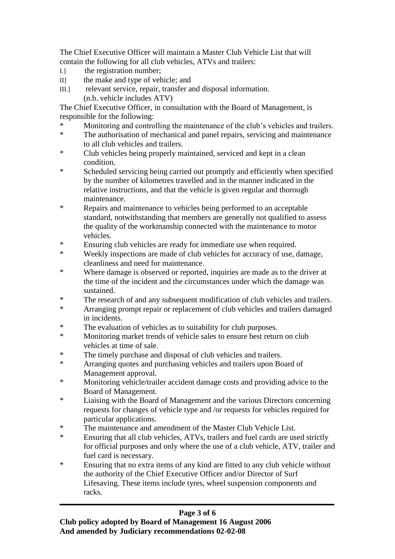The Chief Executive Officer will maintain a Master Club Vehicle List that will contain the following for all club vehicles, ATVs and trailers:

- I.] the registration number;
- II] the make and type of vehicle; and
- III.] relevant service, repair, transfer and disposal information. (n.b. vehicle includes ATV)

The Chief Executive Officer, in consultation with the Board of Management, is responsible for the following:

- Monitoring and controlling the maintenance of the club's vehicles and trailers.
- \* The authorisation of mechanical and panel repairs, servicing and maintenance to all club vehicles and trailers.
- \* Club vehicles being properly maintained, serviced and kept in a clean condition.
- \* Scheduled servicing being carried out promptly and efficiently when specified by the number of kilometres travelled and in the manner indicated in the relative instructions, and that the vehicle is given regular and thorough maintenance.
- \* Repairs and maintenance to vehicles being performed to an acceptable standard, notwithstanding that members are generally not qualified to assess the quality of the workmanship connected with the maintenance to motor vehicles.
- \* Ensuring club vehicles are ready for immediate use when required.<br>Nearly immediate are made of alub vehicles for accuracy of use of
- Weekly inspections are made of club vehicles for accuracy of use, damage, cleanliness and need for maintenance.
- \* Where damage is observed or reported, inquiries are made as to the driver at the time of the incident and the circumstances under which the damage was sustained.
- \* The research of and any subsequent modification of club vehicles and trailers.
- Arranging prompt repair or replacement of club vehicles and trailers damaged in incidents.
- \* The evaluation of vehicles as to suitability for club purposes.
- \* Monitoring market trends of vehicle sales to ensure best return on club vehicles at time of sale.
- \* The timely purchase and disposal of club vehicles and trailers.<br>A graphic quote and guardian vehicles and trailers was Be
- Arranging quotes and purchasing vehicles and trailers upon Board of Management approval.
- \* Monitoring vehicle/trailer accident damage costs and providing advice to the Board of Management.
- \* Liaising with the Board of Management and the various Directors concerning requests for changes of vehicle type and /or requests for vehicles required for particular applications.
- \* The maintenance and amendment of the Master Club Vehicle List.
- \* Ensuring that all club vehicles, ATVs, trailers and fuel cards are used strictly for official purposes and only where the use of a club vehicle, ATV, trailer and fuel card is necessary.
- \* Ensuring that no extra items of any kind are fitted to any club vehicle without the authority of the Chief Executive Officer and/or Director of Surf Lifesaving. These items include tyres, wheel suspension components and racks.

# **Page 3 of 6**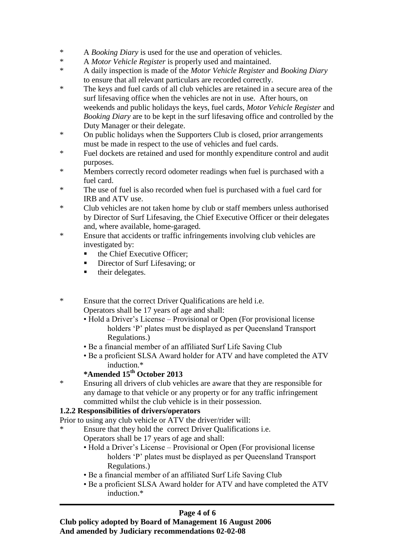- \* A *Booking Diary* is used for the use and operation of vehicles.
- \* A *Motor Vehicle Register* is properly used and maintained.
- \* A daily inspection is made of the *Motor Vehicle Register* and *Booking Diary* to ensure that all relevant particulars are recorded correctly.
- \* The keys and fuel cards of all club vehicles are retained in a secure area of the surf lifesaving office when the vehicles are not in use. After hours, on weekends and public holidays the keys, fuel cards, *Motor Vehicle Register* and *Booking Diary* are to be kept in the surf lifesaving office and controlled by the Duty Manager or their delegate.
- \* On public holidays when the Supporters Club is closed, prior arrangements must be made in respect to the use of vehicles and fuel cards.
- \* Fuel dockets are retained and used for monthly expenditure control and audit purposes.
- \* Members correctly record odometer readings when fuel is purchased with a fuel card.
- \* The use of fuel is also recorded when fuel is purchased with a fuel card for IRB and ATV use.
- \* Club vehicles are not taken home by club or staff members unless authorised by Director of Surf Lifesaving, the Chief Executive Officer or their delegates and, where available, home-garaged.
- \* Ensure that accidents or traffic infringements involving club vehicles are investigated by:
	- the Chief Executive Officer;
	- Director of Surf Lifesaving; or
	- $\blacksquare$  their delegates.
- \* Ensure that the correct Driver Qualifications are held i.e. Operators shall be 17 years of age and shall:
	- Hold a Driver's License Provisional or Open (For provisional license holders 'P' plates must be displayed as per Queensland Transport Regulations.)
	- Be a financial member of an affiliated Surf Life Saving Club
	- Be a proficient SLSA Award holder for ATV and have completed the ATV induction.\*

# **\*Amended 15th October 2013**

\* Ensuring all drivers of club vehicles are aware that they are responsible for any damage to that vehicle or any property or for any traffic infringement committed whilst the club vehicle is in their possession.

# **1.2.2 Responsibilities of drivers/operators**

Prior to using any club vehicle or ATV the driver/rider will:

- Ensure that they hold the correct Driver Qualifications i.e. Operators shall be 17 years of age and shall:
	- Hold a Driver's License Provisional or Open (For provisional license holders 'P' plates must be displayed as per Queensland Transport Regulations.)
	- Be a financial member of an affiliated Surf Life Saving Club
	- Be a proficient SLSA Award holder for ATV and have completed the ATV induction.\*

# **Page 4 of 6**

**Club policy adopted by Board of Management 16 August 2006 And amended by Judiciary recommendations 02-02-08**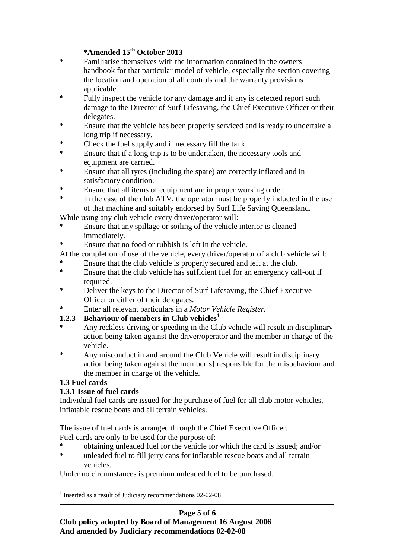# **\*Amended 15th October 2013**

- \* Familiarise themselves with the information contained in the owners handbook for that particular model of vehicle, especially the section covering the location and operation of all controls and the warranty provisions applicable.
- \* Fully inspect the vehicle for any damage and if any is detected report such damage to the Director of Surf Lifesaving, the Chief Executive Officer or their delegates.
- \* Ensure that the vehicle has been properly serviced and is ready to undertake a long trip if necessary.
- \* Check the fuel supply and if necessary fill the tank.
- \* Ensure that if a long trip is to be undertaken, the necessary tools and equipment are carried.
- \* Ensure that all tyres (including the spare) are correctly inflated and in satisfactory condition.
- \* Ensure that all items of equipment are in proper working order.
- \* In the case of the club ATV, the operator must be properly inducted in the use of that machine and suitably endorsed by Surf Life Saving Queensland.

While using any club vehicle every driver/operator will:

- \* Ensure that any spillage or soiling of the vehicle interior is cleaned immediately.
- \* Ensure that no food or rubbish is left in the vehicle.
- At the completion of use of the vehicle, every driver/operator of a club vehicle will:
- Ensure that the club vehicle is properly secured and left at the club.
- \* Ensure that the club vehicle has sufficient fuel for an emergency call-out if required.
- \* Deliver the keys to the Director of Surf Lifesaving, the Chief Executive Officer or either of their delegates.
- \* Enter all relevant particulars in a *Motor Vehicle Register.*

# **1.2.3 Behaviour of members in Club vehicles<sup>1</sup>**

- Any reckless driving or speeding in the Club vehicle will result in disciplinary action being taken against the driver/operator and the member in charge of the vehicle.
- \* Any misconduct in and around the Club Vehicle will result in disciplinary action being taken against the member[s] responsible for the misbehaviour and the member in charge of the vehicle.

# **1.3 Fuel cards**

# **1.3.1 Issue of fuel cards**

Individual fuel cards are issued for the purchase of fuel for all club motor vehicles, inflatable rescue boats and all terrain vehicles.

The issue of fuel cards is arranged through the Chief Executive Officer.

Fuel cards are only to be used for the purpose of:

- \* obtaining unleaded fuel for the vehicle for which the card is issued; and/or
- unleaded fuel to fill jerry cans for inflatable rescue boats and all terrain vehicles.

Under no circumstances is premium unleaded fuel to be purchased.

# **Page 5 of 6**

**Club policy adopted by Board of Management 16 August 2006 And amended by Judiciary recommendations 02-02-08**

<sup>&</sup>lt;u>.</u> <sup>1</sup> Inserted as a result of Judiciary recommendations 02-02-08